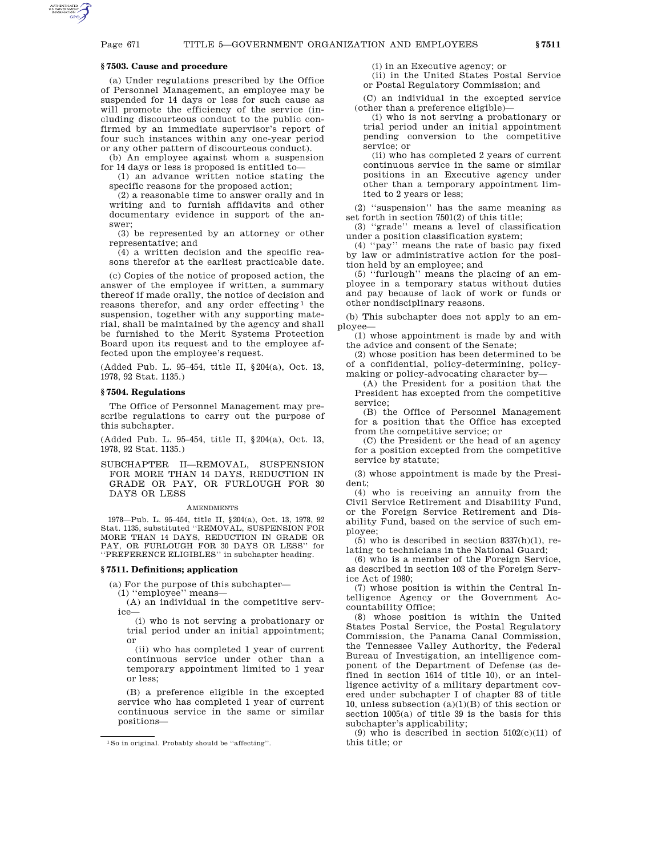# **§ 7503. Cause and procedure**

(a) Under regulations prescribed by the Office of Personnel Management, an employee may be suspended for 14 days or less for such cause as will promote the efficiency of the service (including discourteous conduct to the public confirmed by an immediate supervisor's report of four such instances within any one-year period or any other pattern of discourteous conduct).

(b) An employee against whom a suspension for 14 days or less is proposed is entitled to—

(1) an advance written notice stating the specific reasons for the proposed action;

(2) a reasonable time to answer orally and in writing and to furnish affidavits and other documentary evidence in support of the answer;

(3) be represented by an attorney or other representative; and

(4) a written decision and the specific reasons therefor at the earliest practicable date.

(c) Copies of the notice of proposed action, the answer of the employee if written, a summary thereof if made orally, the notice of decision and reasons therefor, and any order effecting<sup>1</sup> the suspension, together with any supporting material, shall be maintained by the agency and shall be furnished to the Merit Systems Protection Board upon its request and to the employee affected upon the employee's request.

(Added Pub. L. 95–454, title II, §204(a), Oct. 13, 1978, 92 Stat. 1135.)

# **§ 7504. Regulations**

The Office of Personnel Management may prescribe regulations to carry out the purpose of this subchapter.

(Added Pub. L. 95–454, title II, §204(a), Oct. 13, 1978, 92 Stat. 1135.)

SUBCHAPTER II—REMOVAL, SUSPENSION FOR MORE THAN 14 DAYS, REDUCTION IN GRADE OR PAY, OR FURLOUGH FOR 30 DAYS OR LESS

## **AMENDMENTS**

1978—Pub. L. 95–454, title II, §204(a), Oct. 13, 1978, 92 Stat. 1135, substituted ''REMOVAL, SUSPENSION FOR MORE THAN 14 DAYS, REDUCTION IN GRADE OR PAY, OR FURLOUGH FOR 30 DAYS OR LESS'' for ''PREFERENCE ELIGIBLES'' in subchapter heading.

# **§ 7511. Definitions; application**

(a) For the purpose of this subchapter—

(1) ''employee'' means—

(A) an individual in the competitive service—

(i) who is not serving a probationary or trial period under an initial appointment; or

(ii) who has completed 1 year of current continuous service under other than a temporary appointment limited to 1 year or less;

(B) a preference eligible in the excepted service who has completed 1 year of current continuous service in the same or similar positions(i) in an Executive agency; or

(ii) in the United States Postal Service or Postal Regulatory Commission; and

(C) an individual in the excepted service (other than a preference eligible)—

(i) who is not serving a probationary or trial period under an initial appointment pending conversion to the competitive service; or

(ii) who has completed 2 years of current continuous service in the same or similar positions in an Executive agency under other than a temporary appointment limited to 2 years or less;

(2) ''suspension'' has the same meaning as set forth in section 7501(2) of this title;

(3) ''grade'' means a level of classification under a position classification system;

(4) ''pay'' means the rate of basic pay fixed by law or administrative action for the position held by an employee; and

(5) ''furlough'' means the placing of an employee in a temporary status without duties and pay because of lack of work or funds or other nondisciplinary reasons.

(b) This subchapter does not apply to an employee—

(1) whose appointment is made by and with the advice and consent of the Senate;

(2) whose position has been determined to be of a confidential, policy-determining, policymaking or policy-advocating character by—

(A) the President for a position that the President has excepted from the competitive service;

(B) the Office of Personnel Management for a position that the Office has excepted from the competitive service; or

(C) the President or the head of an agency for a position excepted from the competitive service by statute;

(3) whose appointment is made by the President;

(4) who is receiving an annuity from the Civil Service Retirement and Disability Fund, or the Foreign Service Retirement and Disability Fund, based on the service of such employee;

 $(5)$  who is described in section 8337 $(h)(1)$ , relating to technicians in the National Guard;

(6) who is a member of the Foreign Service, as described in section 103 of the Foreign Service Act of 1980;

(7) whose position is within the Central Intelligence Agency or the Government Accountability Office;

(8) whose position is within the United States Postal Service, the Postal Regulatory Commission, the Panama Canal Commission, the Tennessee Valley Authority, the Federal Bureau of Investigation, an intelligence component of the Department of Defense (as defined in section 1614 of title 10), or an intelligence activity of a military department covered under subchapter I of chapter 83 of title 10, unless subsection  $(a)(1)(B)$  of this section or section 1005(a) of title 39 is the basis for this subchapter's applicability;

(9) who is described in section  $5102(c)(11)$  of this title; or

 $^1\mathrm{So}$  in original. Probably should be ''affecting''.